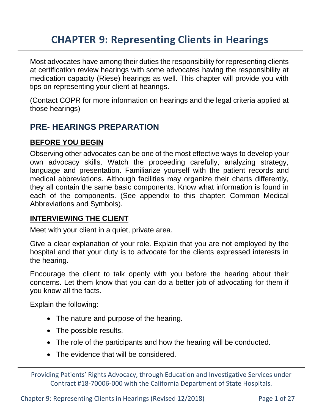# **CHAPTER 9: Representing Clients in Hearings**

Most advocates have among their duties the responsibility for representing clients at certification review hearings with some advocates having the responsibility at medication capacity (Riese) hearings as well. This chapter will provide you with tips on representing your client at hearings.

(Contact COPR for more information on hearings and the legal criteria applied at those hearings)

# **PRE- HEARINGS PREPARATION**

#### **BEFORE YOU BEGIN**

Observing other advocates can be one of the most effective ways to develop your own advocacy skills. Watch the proceeding carefully, analyzing strategy, language and presentation. Familiarize yourself with the patient records and medical abbreviations. Although facilities may organize their charts differently, they all contain the same basic components. Know what information is found in each of the components. (See appendix to this chapter: Common Medical Abbreviations and Symbols).

#### **INTERVIEWING THE CLIENT**

Meet with your client in a quiet, private area.

Give a clear explanation of your role. Explain that you are not employed by the hospital and that your duty is to advocate for the clients expressed interests in the hearing.

Encourage the client to talk openly with you before the hearing about their concerns. Let them know that you can do a better job of advocating for them if you know all the facts.

Explain the following:

- The nature and purpose of the hearing.
- The possible results.
- The role of the participants and how the hearing will be conducted.
- The evidence that will be considered.

Providing Patients' Rights Advocacy, through Education and Investigative Services under Contract #18-70006-000 with the California Department of State Hospitals.

Chapter 9: Representing Clients in Hearings (Revised 12/2018) Page 1 of 27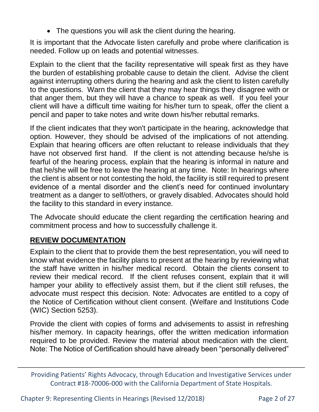The questions you will ask the client during the hearing.

It is important that the Advocate listen carefully and probe where clarification is needed. Follow up on leads and potential witnesses.

Explain to the client that the facility representative will speak first as they have the burden of establishing probable cause to detain the client. Advise the client against interrupting others during the hearing and ask the client to listen carefully to the questions. Warn the client that they may hear things they disagree with or that anger them, but they will have a chance to speak as well. If you feel your client will have a difficult time waiting for his/her turn to speak, offer the client a pencil and paper to take notes and write down his/her rebuttal remarks.

If the client indicates that they won't participate in the hearing, acknowledge that option. However, they should be advised of the implications of not attending. Explain that hearing officers are often reluctant to release individuals that they have not observed first hand. If the client is not attending because he/she is fearful of the hearing process, explain that the hearing is informal in nature and that he/she will be free to leave the hearing at any time. Note: In hearings where the client is absent or not contesting the hold, the facility is still required to present evidence of a mental disorder and the client's need for continued involuntary treatment as a danger to self/others, or gravely disabled. Advocates should hold the facility to this standard in every instance.

The Advocate should educate the client regarding the certification hearing and commitment process and how to successfully challenge it.

#### **REVIEW DOCUMENTATION**

Explain to the client that to provide them the best representation, you will need to know what evidence the facility plans to present at the hearing by reviewing what the staff have written in his/her medical record. Obtain the clients consent to review their medical record. If the client refuses consent, explain that it will hamper your ability to effectively assist them, but if the client still refuses, the advocate must respect this decision. Note: Advocates are entitled to a copy of the Notice of Certification without client consent. (Welfare and Institutions Code (WIC) Section 5253).

Provide the client with copies of forms and advisements to assist in refreshing his/her memory. In capacity hearings, offer the written medication information required to be provided. Review the material about medication with the client. Note: The Notice of Certification should have already been "personally delivered"

Chapter 9: Representing Clients in Hearings (Revised 12/2018) Page 2 of 27

Providing Patients' Rights Advocacy, through Education and Investigative Services under Contract #18-70006-000 with the California Department of State Hospitals.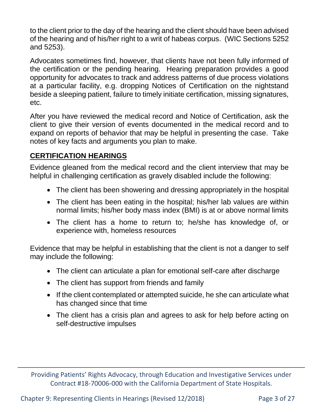to the client prior to the day of the hearing and the client should have been advised of the hearing and of his/her right to a writ of habeas corpus. (WIC Sections 5252 and 5253).

Advocates sometimes find, however, that clients have not been fully informed of the certification or the pending hearing. Hearing preparation provides a good opportunity for advocates to track and address patterns of due process violations at a particular facility, e.g. dropping Notices of Certification on the nightstand beside a sleeping patient, failure to timely initiate certification, missing signatures, etc.

After you have reviewed the medical record and Notice of Certification, ask the client to give their version of events documented in the medical record and to expand on reports of behavior that may be helpful in presenting the case. Take notes of key facts and arguments you plan to make.

### **CERTIFICATION HEARINGS**

Evidence gleaned from the medical record and the client interview that may be helpful in challenging certification as gravely disabled include the following:

- The client has been showering and dressing appropriately in the hospital
- The client has been eating in the hospital; his/her lab values are within normal limits; his/her body mass index (BMI) is at or above normal limits
- The client has a home to return to; he/she has knowledge of, or experience with, homeless resources

Evidence that may be helpful in establishing that the client is not a danger to self may include the following:

- The client can articulate a plan for emotional self-care after discharge
- The client has support from friends and family
- If the client contemplated or attempted suicide, he she can articulate what has changed since that time
- The client has a crisis plan and agrees to ask for help before acting on self-destructive impulses

Providing Patients' Rights Advocacy, through Education and Investigative Services under Contract #18-70006-000 with the California Department of State Hospitals.

Chapter 9: Representing Clients in Hearings (Revised 12/2018) Page 3 of 27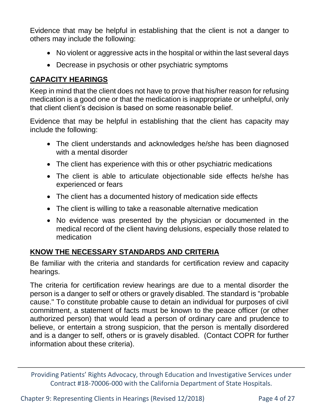Evidence that may be helpful in establishing that the client is not a danger to others may include the following:

- No violent or aggressive acts in the hospital or within the last several days
- Decrease in psychosis or other psychiatric symptoms

#### **CAPACITY HEARINGS**

Keep in mind that the client does not have to prove that his/her reason for refusing medication is a good one or that the medication is inappropriate or unhelpful, only that client client's decision is based on some reasonable belief.

Evidence that may be helpful in establishing that the client has capacity may include the following:

- The client understands and acknowledges he/she has been diagnosed with a mental disorder
- The client has experience with this or other psychiatric medications
- The client is able to articulate objectionable side effects he/she has experienced or fears
- The client has a documented history of medication side effects
- The client is willing to take a reasonable alternative medication
- No evidence was presented by the physician or documented in the medical record of the client having delusions, especially those related to medication

#### **KNOW THE NECESSARY STANDARDS AND CRITERIA**

Be familiar with the criteria and standards for certification review and capacity hearings.

The criteria for certification review hearings are due to a mental disorder the person is a danger to self or others or gravely disabled. The standard is "probable cause." To constitute probable cause to detain an individual for purposes of civil commitment, a statement of facts must be known to the peace officer (or other authorized person) that would lead a person of ordinary care and prudence to believe, or entertain a strong suspicion, that the person is mentally disordered and is a danger to self, others or is gravely disabled. (Contact COPR for further information about these criteria).

Providing Patients' Rights Advocacy, through Education and Investigative Services under Contract #18-70006-000 with the California Department of State Hospitals.

Chapter 9: Representing Clients in Hearings (Revised 12/2018) Page 4 of 27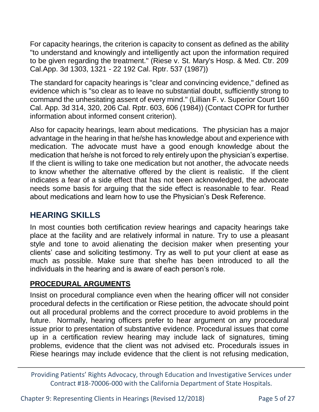For capacity hearings, the criterion is capacity to consent as defined as the ability "to understand and knowingly and intelligently act upon the information required to be given regarding the treatment." (Riese v. St. Mary's Hosp. & Med. Ctr. 209 Cal.App. 3d 1303, 1321 - 22 192 Cal. Rptr. 537 (1987))

The standard for capacity hearings is "clear and convincing evidence," defined as evidence which is "so clear as to leave no substantial doubt, sufficiently strong to command the unhesitating assent of every mind." (Lillian F. v. Superior Court 160 Cal. App. 3d 314, 320, 206 Cal. Rptr. 603, 606 (1984)) (Contact COPR for further information about informed consent criterion).

Also for capacity hearings, learn about medications. The physician has a major advantage in the hearing in that he/she has knowledge about and experience with medication. The advocate must have a good enough knowledge about the medication that he/she is not forced to rely entirely upon the physician's expertise. If the client is willing to take one medication but not another, the advocate needs to know whether the alternative offered by the client is realistic. If the client indicates a fear of a side effect that has not been acknowledged, the advocate needs some basis for arguing that the side effect is reasonable to fear. Read about medications and learn how to use the Physician's Desk Reference.

# **HEARING SKILLS**

In most counties both certification review hearings and capacity hearings take place at the facility and are relatively informal in nature. Try to use a pleasant style and tone to avoid alienating the decision maker when presenting your clients' case and soliciting testimony. Try as well to put your client at ease as much as possible. Make sure that she/he has been introduced to all the individuals in the hearing and is aware of each person's role.

## **PROCEDURAL ARGUMENTS**

Insist on procedural compliance even when the hearing officer will not consider procedural defects in the certification or Riese petition, the advocate should point out all procedural problems and the correct procedure to avoid problems in the future. Normally, hearing officers prefer to hear argument on any procedural issue prior to presentation of substantive evidence. Procedural issues that come up in a certification review hearing may include lack of signatures, timing problems, evidence that the client was not advised etc. Procedurals issues in Riese hearings may include evidence that the client is not refusing medication,

Providing Patients' Rights Advocacy, through Education and Investigative Services under Contract #18-70006-000 with the California Department of State Hospitals.

Chapter 9: Representing Clients in Hearings (Revised 12/2018) Page 5 of 27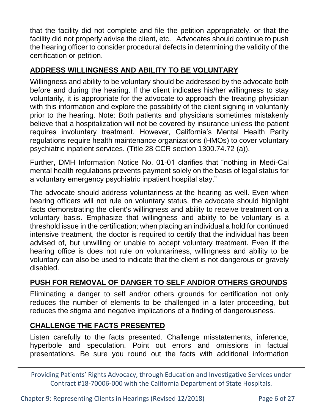that the facility did not complete and file the petition appropriately, or that the facility did not properly advise the client, etc. Advocates should continue to push the hearing officer to consider procedural defects in determining the validity of the certification or petition.

#### **ADDRESS WILLINGNESS AND ABILITY TO BE VOLUNTARY**

Willingness and ability to be voluntary should be addressed by the advocate both before and during the hearing. If the client indicates his/her willingness to stay voluntarily, it is appropriate for the advocate to approach the treating physician with this information and explore the possibility of the client signing in voluntarily prior to the hearing. Note: Both patients and physicians sometimes mistakenly believe that a hospitalization will not be covered by insurance unless the patient requires involuntary treatment. However, California's Mental Health Parity regulations require health maintenance organizations (HMOs) to cover voluntary psychiatric inpatient services. (Title 28 CCR section 1300.74.72 (a)).

Further, DMH Information Notice No. 01-01 clarifies that "nothing in Medi-Cal mental health regulations prevents payment solely on the basis of legal status for a voluntary emergency psychiatric inpatient hospital stay."

The advocate should address voluntariness at the hearing as well. Even when hearing officers will not rule on voluntary status, the advocate should highlight facts demonstrating the client's willingness and ability to receive treatment on a voluntary basis. Emphasize that willingness and ability to be voluntary is a threshold issue in the certification; when placing an individual a hold for continued intensive treatment, the doctor is required to certify that the individual has been advised of, but unwilling or unable to accept voluntary treatment. Even if the hearing office is does not rule on voluntariness, willingness and ability to be voluntary can also be used to indicate that the client is not dangerous or gravely disabled.

#### **PUSH FOR REMOVAL OF DANGER TO SELF AND/OR OTHERS GROUNDS**

Eliminating a danger to self and/or others grounds for certification not only reduces the number of elements to be challenged in a later proceeding, but reduces the stigma and negative implications of a finding of dangerousness.

#### **CHALLENGE THE FACTS PRESENTED**

Listen carefully to the facts presented. Challenge misstatements, inference, hyperbole and speculation. Point out errors and omissions in factual presentations. Be sure you round out the facts with additional information

Providing Patients' Rights Advocacy, through Education and Investigative Services under Contract #18-70006-000 with the California Department of State Hospitals.

Chapter 9: Representing Clients in Hearings (Revised 12/2018) Page 6 of 27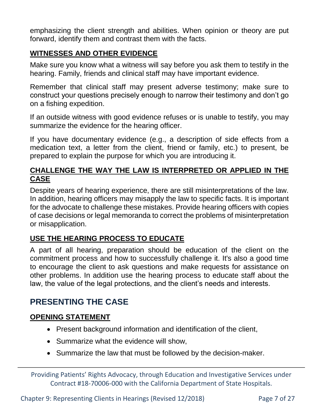emphasizing the client strength and abilities. When opinion or theory are put forward, identify them and contrast them with the facts.

#### **WITNESSES AND OTHER EVIDENCE**

Make sure you know what a witness will say before you ask them to testify in the hearing. Family, friends and clinical staff may have important evidence.

Remember that clinical staff may present adverse testimony; make sure to construct your questions precisely enough to narrow their testimony and don't go on a fishing expedition.

If an outside witness with good evidence refuses or is unable to testify, you may summarize the evidence for the hearing officer.

If you have documentary evidence (e.g., a description of side effects from a medication text, a letter from the client, friend or family, etc.) to present, be prepared to explain the purpose for which you are introducing it.

#### **CHALLENGE THE WAY THE LAW IS INTERPRETED OR APPLIED IN THE CASE**

Despite years of hearing experience, there are still misinterpretations of the law. In addition, hearing officers may misapply the law to specific facts. It is important for the advocate to challenge these mistakes. Provide hearing officers with copies of case decisions or legal memoranda to correct the problems of misinterpretation or misapplication.

#### **USE THE HEARING PROCESS TO EDUCATE**

A part of all hearing, preparation should be education of the client on the commitment process and how to successfully challenge it. It's also a good time to encourage the client to ask questions and make requests for assistance on other problems. In addition use the hearing process to educate staff about the law, the value of the legal protections, and the client's needs and interests.

# **PRESENTING THE CASE**

#### **OPENING STATEMENT**

- Present background information and identification of the client,
- Summarize what the evidence will show,
- Summarize the law that must be followed by the decision-maker.

Providing Patients' Rights Advocacy, through Education and Investigative Services under Contract #18-70006-000 with the California Department of State Hospitals.

Chapter 9: Representing Clients in Hearings (Revised 12/2018) Page 7 of 27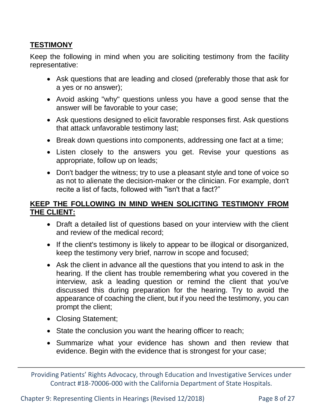### **TESTIMONY**

Keep the following in mind when you are soliciting testimony from the facility representative:

- Ask questions that are leading and closed (preferably those that ask for a yes or no answer);
- Avoid asking "why" questions unless you have a good sense that the answer will be favorable to your case;
- Ask questions designed to elicit favorable responses first. Ask questions that attack unfavorable testimony last;
- Break down questions into components, addressing one fact at a time;
- Listen closely to the answers you get. Revise your questions as appropriate, follow up on leads;
- Don't badger the witness; try to use a pleasant style and tone of voice so as not to alienate the decision-maker or the clinician. For example, don't recite a list of facts, followed with "isn't that a fact?"

#### **KEEP THE FOLLOWING IN MIND WHEN SOLICITING TESTIMONY FROM THE CLIENT:**

- Draft a detailed list of questions based on your interview with the client and review of the medical record;
- If the client's testimony is likely to appear to be illogical or disorganized, keep the testimony very brief, narrow in scope and focused;
- Ask the client in advance all the questions that you intend to ask in the hearing. If the client has trouble remembering what you covered in the interview, ask a leading question or remind the client that you've discussed this during preparation for the hearing. Try to avoid the appearance of coaching the client, but if you need the testimony, you can prompt the client;
- Closing Statement;
- State the conclusion you want the hearing officer to reach;
- Summarize what your evidence has shown and then review that evidence. Begin with the evidence that is strongest for your case;

Providing Patients' Rights Advocacy, through Education and Investigative Services under Contract #18-70006-000 with the California Department of State Hospitals.

Chapter 9: Representing Clients in Hearings (Revised 12/2018) Page 8 of 27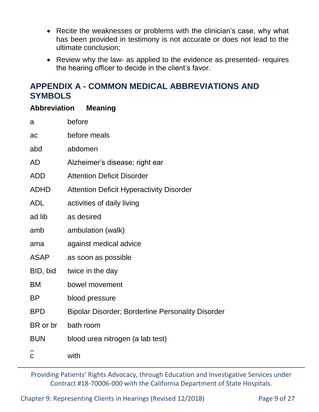- Recite the weaknesses or problems with the clinician's case, why what has been provided in testimony is not accurate or does not lead to the ultimate conclusion;
- Review why the law- as applied to the evidence as presented- requires the hearing officer to decide in the client's favor.

# **APPENDIX A - COMMON MEDICAL ABBREVIATIONS AND SYMBOLS**

#### **Abbreviation Meaning**

| a              | before                                                   |  |  |  |
|----------------|----------------------------------------------------------|--|--|--|
| ac             | before meals                                             |  |  |  |
| abd            | abdomen                                                  |  |  |  |
| <b>AD</b>      | Alzheimer's disease; right ear                           |  |  |  |
| <b>ADD</b>     | <b>Attention Deficit Disorder</b>                        |  |  |  |
| <b>ADHD</b>    | <b>Attention Deficit Hyperactivity Disorder</b>          |  |  |  |
| <b>ADL</b>     | activities of daily living                               |  |  |  |
| ad lib         | as desired                                               |  |  |  |
| amb            | ambulation (walk)                                        |  |  |  |
| ama            | against medical advice                                   |  |  |  |
| ASAP           | as soon as possible                                      |  |  |  |
| BID, bid       | twice in the day                                         |  |  |  |
| ВM             | bowel movement                                           |  |  |  |
| ΒP             | blood pressure                                           |  |  |  |
| <b>BPD</b>     | <b>Bipolar Disorder; Borderline Personality Disorder</b> |  |  |  |
| BR or br       | bath room                                                |  |  |  |
| <b>BUN</b>     | blood urea nitrogen (a lab test)                         |  |  |  |
| $\overline{C}$ | with                                                     |  |  |  |

Providing Patients' Rights Advocacy, through Education and Investigative Services under Contract #18-70006-000 with the California Department of State Hospitals.

Chapter 9: Representing Clients in Hearings (Revised 12/2018) Page 9 of 27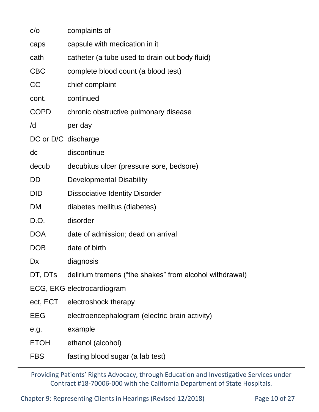| C/O                 | complaints of                                                   |  |  |  |
|---------------------|-----------------------------------------------------------------|--|--|--|
| caps                | capsule with medication in it                                   |  |  |  |
| cath                | catheter (a tube used to drain out body fluid)                  |  |  |  |
| <b>CBC</b>          | complete blood count (a blood test)                             |  |  |  |
| <b>CC</b>           | chief complaint                                                 |  |  |  |
| cont.               | continued                                                       |  |  |  |
| <b>COPD</b>         | chronic obstructive pulmonary disease                           |  |  |  |
| /d                  | per day                                                         |  |  |  |
| DC or D/C discharge |                                                                 |  |  |  |
| dc                  | discontinue                                                     |  |  |  |
| decub               | decubitus ulcer (pressure sore, bedsore)                        |  |  |  |
| DD                  | <b>Developmental Disability</b>                                 |  |  |  |
| <b>DID</b>          | <b>Dissociative Identity Disorder</b>                           |  |  |  |
| DM                  | diabetes mellitus (diabetes)                                    |  |  |  |
| D.O.                | disorder                                                        |  |  |  |
| <b>DOA</b>          | date of admission; dead on arrival                              |  |  |  |
| <b>DOB</b>          | date of birth                                                   |  |  |  |
| Dx                  | diagnosis                                                       |  |  |  |
|                     | DT, DTs delirium tremens ("the shakes" from alcohol withdrawal) |  |  |  |
|                     | ECG, EKG electrocardiogram                                      |  |  |  |
|                     | ect, ECT electroshock therapy                                   |  |  |  |
| <b>EEG</b>          | electroencephalogram (electric brain activity)                  |  |  |  |
| e.g.                | example                                                         |  |  |  |
| <b>ETOH</b>         | ethanol (alcohol)                                               |  |  |  |
| <b>FBS</b>          | fasting blood sugar (a lab test)                                |  |  |  |
|                     |                                                                 |  |  |  |

Chapter 9: Representing Clients in Hearings (Revised 12/2018) Page 10 of 27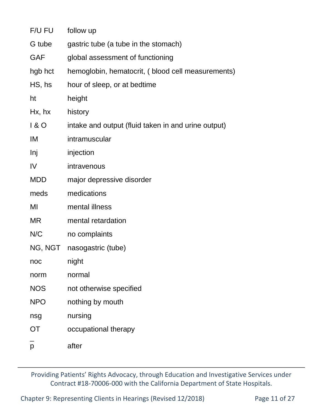| F/U FU     | follow up                                           |  |  |  |
|------------|-----------------------------------------------------|--|--|--|
| G tube     | gastric tube (a tube in the stomach)                |  |  |  |
| <b>GAF</b> | global assessment of functioning                    |  |  |  |
| hgb hct    | hemoglobin, hematocrit, (blood cell measurements)   |  |  |  |
| HS, hs     | hour of sleep, or at bedtime                        |  |  |  |
| ht         | height                                              |  |  |  |
| Hx, hx     | history                                             |  |  |  |
| 180        | intake and output (fluid taken in and urine output) |  |  |  |
| IM         | intramuscular                                       |  |  |  |
| <b>Inj</b> | injection                                           |  |  |  |
| IV         | intravenous                                         |  |  |  |
| <b>MDD</b> | major depressive disorder                           |  |  |  |
| meds       | medications                                         |  |  |  |
| MI         | mental illness                                      |  |  |  |
| <b>MR</b>  | mental retardation                                  |  |  |  |
| N/C        | no complaints                                       |  |  |  |
| NG, NGT    | nasogastric (tube)                                  |  |  |  |
| noc        | night                                               |  |  |  |
| norm       | normal                                              |  |  |  |
| <b>NOS</b> | not otherwise specified                             |  |  |  |
| <b>NPO</b> | nothing by mouth                                    |  |  |  |
| nsg        | nursing                                             |  |  |  |
| <b>OT</b>  | occupational therapy                                |  |  |  |
| p          | after                                               |  |  |  |
|            |                                                     |  |  |  |

Chapter 9: Representing Clients in Hearings (Revised 12/2018) Page 11 of 27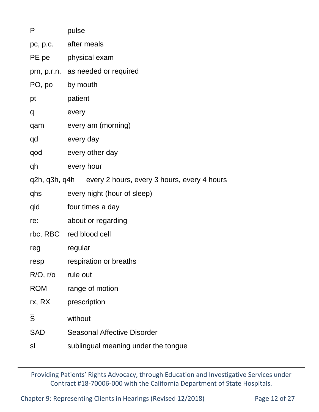| P                                                         | pulse                               |  |  |  |  |
|-----------------------------------------------------------|-------------------------------------|--|--|--|--|
|                                                           | pc, p.c. after meals                |  |  |  |  |
|                                                           | PE pe   physical exam               |  |  |  |  |
|                                                           | prn, p.r.n. as needed or required   |  |  |  |  |
| PO, po                                                    | by mouth                            |  |  |  |  |
| pt                                                        | patient                             |  |  |  |  |
| q                                                         | every                               |  |  |  |  |
| qam                                                       | every am (morning)                  |  |  |  |  |
| qd                                                        | every day                           |  |  |  |  |
| qod                                                       | every other day                     |  |  |  |  |
| qh                                                        | every hour                          |  |  |  |  |
| q2h, q3h, q4h every 2 hours, every 3 hours, every 4 hours |                                     |  |  |  |  |
| qhs                                                       | every night (hour of sleep)         |  |  |  |  |
| qid                                                       | four times a day                    |  |  |  |  |
| re:                                                       | about or regarding                  |  |  |  |  |
|                                                           | rbc, RBC red blood cell             |  |  |  |  |
| reg                                                       | regular                             |  |  |  |  |
| resp                                                      | respiration or breaths              |  |  |  |  |
| $R/O$ , r/o                                               | rule out                            |  |  |  |  |
| <b>ROM</b>                                                | range of motion                     |  |  |  |  |
| rx, RX                                                    | prescription                        |  |  |  |  |
| S                                                         | without                             |  |  |  |  |
| <b>SAD</b>                                                | <b>Seasonal Affective Disorder</b>  |  |  |  |  |
| sl                                                        | sublingual meaning under the tongue |  |  |  |  |
|                                                           |                                     |  |  |  |  |

Chapter 9: Representing Clients in Hearings (Revised 12/2018) Page 12 of 27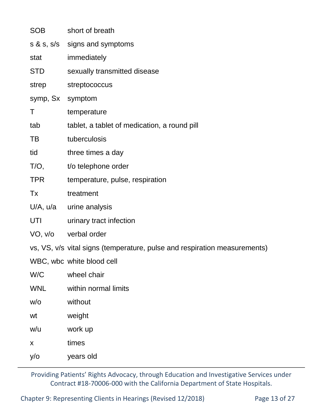| SOB              | short of breath                                                           |
|------------------|---------------------------------------------------------------------------|
|                  | s & s, s/s signs and symptoms                                             |
| stat             | immediately                                                               |
| <b>STD</b>       | sexually transmitted disease                                              |
| strep            | streptococcus                                                             |
| symp, Sx symptom |                                                                           |
| Τ                | temperature                                                               |
| tab              | tablet, a tablet of medication, a round pill                              |
| TB               | tuberculosis                                                              |
| tid              | three times a day                                                         |
| $T/O$ ,          | t/o telephone order                                                       |
| <b>TPR</b>       | temperature, pulse, respiration                                           |
| Tx               | treatment                                                                 |
| U/A, u/a         | urine analysis                                                            |
| UTI              | urinary tract infection                                                   |
| VO, v/o          | verbal order                                                              |
|                  | vs, VS, v/s vital signs (temperature, pulse and respiration measurements) |
|                  | WBC, wbc white blood cell                                                 |
| W/C              | wheel chair                                                               |
| <b>WNL</b>       | within normal limits                                                      |
| W/O              | without                                                                   |
| wt               | weight                                                                    |
| w/u              | work up                                                                   |
| X                | times                                                                     |
| $y$ /o           | years old                                                                 |

Chapter 9: Representing Clients in Hearings (Revised 12/2018) Page 13 of 27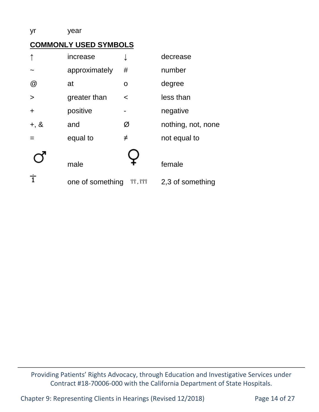#### yr year

### **COMMONLY USED SYMBOLS**

|                 | increase         | ↓                               | decrease           |
|-----------------|------------------|---------------------------------|--------------------|
|                 | approximately    | #                               | number             |
| $^{\copyright}$ | at               | O                               | degree             |
| $\geq$          | greater than     | $\prec$                         | less than          |
| $\ddag$         | positive         |                                 | negative           |
| $+, 8$          | and              | Ø                               | nothing, not, none |
|                 | equal to         | $\neq$                          | not equal to       |
|                 |                  |                                 |                    |
|                 | male             |                                 | female             |
| 亍               | one of something | $\overline{11}, \overline{111}$ | 2,3 of something   |

Providing Patients' Rights Advocacy, through Education and Investigative Services under Contract #18-70006-000 with the California Department of State Hospitals.

Chapter 9: Representing Clients in Hearings (Revised 12/2018) Page 14 of 27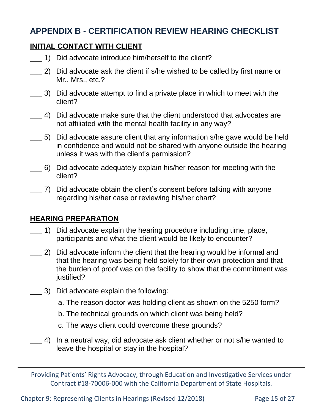# **APPENDIX B - CERTIFICATION REVIEW HEARING CHECKLIST**

#### **INITIAL CONTACT WITH CLIENT**

- 1) Did advocate introduce him/herself to the client?
- 2) Did advocate ask the client if s/he wished to be called by first name or Mr., Mrs., etc.?
- \_\_\_ 3) Did advocate attempt to find a private place in which to meet with the client?
- 4) Did advocate make sure that the client understood that advocates are not affiliated with the mental health facility in any way?
- \_\_\_ 5) Did advocate assure client that any information s/he gave would be held in confidence and would not be shared with anyone outside the hearing unless it was with the client's permission?
- \_\_\_ 6) Did advocate adequately explain his/her reason for meeting with the client?
- \_\_\_ 7) Did advocate obtain the client's consent before talking with anyone regarding his/her case or reviewing his/her chart?

#### **HEARING PREPARATION**

- \_\_\_ 1) Did advocate explain the hearing procedure including time, place, participants and what the client would be likely to encounter?
- \_\_\_ 2) Did advocate inform the client that the hearing would be informal and that the hearing was being held solely for their own protection and that the burden of proof was on the facility to show that the commitment was justified?
- \_\_\_ 3) Did advocate explain the following:
	- a. The reason doctor was holding client as shown on the 5250 form?
	- b. The technical grounds on which client was being held?
	- c. The ways client could overcome these grounds?
- \_\_\_ 4) In a neutral way, did advocate ask client whether or not s/he wanted to leave the hospital or stay in the hospital?

Providing Patients' Rights Advocacy, through Education and Investigative Services under Contract #18-70006-000 with the California Department of State Hospitals.

Chapter 9: Representing Clients in Hearings (Revised 12/2018) Page 15 of 27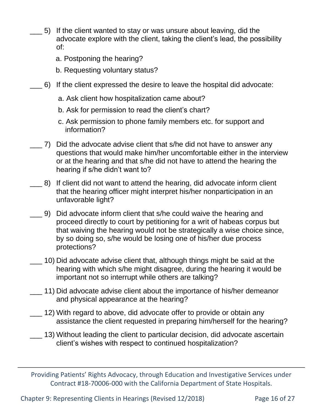- 5) If the client wanted to stay or was unsure about leaving, did the advocate explore with the client, taking the client's lead, the possibility of:
	- a. Postponing the hearing?
	- b. Requesting voluntary status?
- \_\_\_ 6) If the client expressed the desire to leave the hospital did advocate:
	- a. Ask client how hospitalization came about?
	- b. Ask for permission to read the client's chart?
	- c. Ask permission to phone family members etc. for support and information?
- \_\_\_ 7) Did the advocate advise client that s/he did not have to answer any questions that would make him/her uncomfortable either in the interview or at the hearing and that s/he did not have to attend the hearing the hearing if s/he didn't want to?
- \_\_\_ 8) If client did not want to attend the hearing, did advocate inform client that the hearing officer might interpret his/her nonparticipation in an unfavorable light?
- \_\_\_ 9) Did advocate inform client that s/he could waive the hearing and proceed directly to court by petitioning for a writ of habeas corpus but that waiving the hearing would not be strategically a wise choice since, by so doing so, s/he would be losing one of his/her due process protections?
- \_\_\_ 10) Did advocate advise client that, although things might be said at the hearing with which s/he might disagree, during the hearing it would be important not so interrupt while others are talking?
- \_\_\_ 11) Did advocate advise client about the importance of his/her demeanor and physical appearance at the hearing?
- \_\_\_ 12) With regard to above, did advocate offer to provide or obtain any assistance the client requested in preparing him/herself for the hearing?
- \_\_\_ 13) Without leading the client to particular decision, did advocate ascertain client's wishes with respect to continued hospitalization?

Chapter 9: Representing Clients in Hearings (Revised 12/2018) Page 16 of 27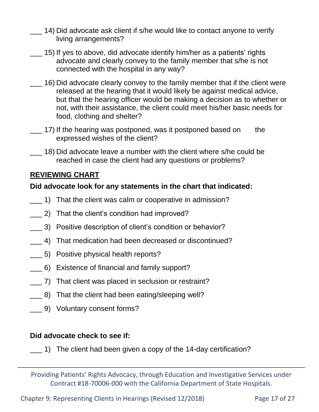- 14) Did advocate ask client if s/he would like to contact anyone to verify living arrangements?
- \_\_\_ 15) If yes to above, did advocate identify him/her as a patients' rights advocate and clearly convey to the family member that s/he is not connected with the hospital in any way?
- \_\_\_ 16) Did advocate clearly convey to the family member that if the client were released at the hearing that it would likely be against medical advice, but that the hearing officer would be making a decision as to whether or not, with their assistance, the client could meet his/her basic needs for food, clothing and shelter?
- $\pm$  17) If the hearing was postponed, was it postponed based on the expressed wishes of the client?
- \_\_\_ 18) Did advocate leave a number with the client where s/he could be reached in case the client had any questions or problems?

### **REVIEWING CHART**

#### **Did advocate look for any statements in the chart that indicated:**

- \_\_\_ 1) That the client was calm or cooperative in admission?
- \_\_\_ 2) That the client's condition had improved?
- \_\_\_ 3) Positive description of client's condition or behavior?
- 4) That medication had been decreased or discontinued?
- \_\_\_ 5) Positive physical health reports?
- \_\_\_ 6) Existence of financial and family support?
- \_\_\_ 7) That client was placed in seclusion or restraint?
- \_\_\_ 8) That the client had been eating/sleeping well?
- \_\_\_ 9) Voluntary consent forms?

#### **Did advocate check to see if:**

\_\_\_ 1) The client had been given a copy of the 14-day certification?

Providing Patients' Rights Advocacy, through Education and Investigative Services under Contract #18-70006-000 with the California Department of State Hospitals.

Chapter 9: Representing Clients in Hearings (Revised 12/2018) Page 17 of 27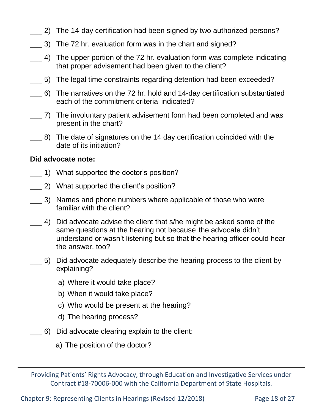- 2) The 14-day certification had been signed by two authorized persons?
- \_\_\_ 3) The 72 hr. evaluation form was in the chart and signed?
- \_\_\_ 4) The upper portion of the 72 hr. evaluation form was complete indicating that proper advisement had been given to the client?
- \_\_\_ 5) The legal time constraints regarding detention had been exceeded?
- \_\_\_ 6) The narratives on the 72 hr. hold and 14-day certification substantiated each of the commitment criteria indicated?
- \_\_\_ 7) The involuntary patient advisement form had been completed and was present in the chart?
- \_\_\_ 8) The date of signatures on the 14 day certification coincided with the date of its initiation?

#### **Did advocate note:**

- \_\_\_ 1) What supported the doctor's position?
- \_\_\_ 2) What supported the client's position?
- \_\_\_ 3) Names and phone numbers where applicable of those who were familiar with the client?
- $\pm$  4) Did advocate advise the client that s/he might be asked some of the same questions at the hearing not because the advocate didn't understand or wasn't listening but so that the hearing officer could hear the answer, too?
- \_\_\_ 5) Did advocate adequately describe the hearing process to the client by explaining?
	- a) Where it would take place?
	- b) When it would take place?
	- c) Who would be present at the hearing?
	- d) The hearing process?
- 6) Did advocate clearing explain to the client:
	- a) The position of the doctor?

Providing Patients' Rights Advocacy, through Education and Investigative Services under Contract #18-70006-000 with the California Department of State Hospitals.

Chapter 9: Representing Clients in Hearings (Revised 12/2018) Page 18 of 27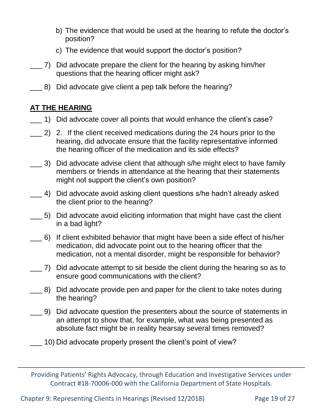- b) The evidence that would be used at the hearing to refute the doctor's position?
- c) The evidence that would support the doctor's position?
- \_\_\_ 7) Did advocate prepare the client for the hearing by asking him/her questions that the hearing officer might ask?
- \_\_\_ 8) Did advocate give client a pep talk before the hearing?

## **AT THE HEARING**

- \_\_\_ 1) Did advocate cover all points that would enhance the client's case?
- \_\_\_ 2) 2. If the client received medications during the 24 hours prior to the hearing, did advocate ensure that the facility representative informed the hearing officer of the medication and its side effects?
- \_\_\_ 3) Did advocate advise client that although s/he might elect to have family members or friends in attendance at the hearing that their statements might not support the client's own position?
- \_\_\_ 4) Did advocate avoid asking client questions s/he hadn't already asked the client prior to the hearing?
- \_\_\_ 5) Did advocate avoid eliciting information that might have cast the client in a bad light?
- \_\_\_ 6) If client exhibited behavior that might have been a side effect of his/her medication, did advocate point out to the hearing officer that the medication, not a mental disorder, might be responsible for behavior?
- \_\_\_ 7) Did advocate attempt to sit beside the client during the hearing so as to ensure good communications with the client?
- \_\_\_ 8) Did advocate provide pen and paper for the client to take notes during the hearing?
- \_\_\_ 9) Did advocate question the presenters about the source of statements in an attempt to show that, for example, what was being presented as absolute fact might be in reality hearsay several times removed?
- \_\_\_ 10) Did advocate properly present the client's point of view?

Providing Patients' Rights Advocacy, through Education and Investigative Services under Contract #18-70006-000 with the California Department of State Hospitals.

Chapter 9: Representing Clients in Hearings (Revised 12/2018) Page 19 of 27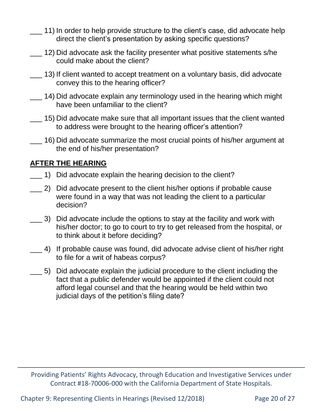- 11) In order to help provide structure to the client's case, did advocate help direct the client's presentation by asking specific questions?
- \_\_\_ 12) Did advocate ask the facility presenter what positive statements s/he could make about the client?
	- \_\_\_ 13) If client wanted to accept treatment on a voluntary basis, did advocate convey this to the hearing officer?
- \_\_\_ 14) Did advocate explain any terminology used in the hearing which might have been unfamiliar to the client?
- \_\_\_ 15) Did advocate make sure that all important issues that the client wanted to address were brought to the hearing officer's attention?
- \_\_\_ 16) Did advocate summarize the most crucial points of his/her argument at the end of his/her presentation?

#### **AFTER THE HEARING**

- 1) Did advocate explain the hearing decision to the client?
- \_\_\_ 2) Did advocate present to the client his/her options if probable cause were found in a way that was not leading the client to a particular decision?
- \_\_\_ 3) Did advocate include the options to stay at the facility and work with his/her doctor; to go to court to try to get released from the hospital, or to think about it before deciding?
- \_\_\_ 4) If probable cause was found, did advocate advise client of his/her right to file for a writ of habeas corpus?
- \_\_\_ 5) Did advocate explain the judicial procedure to the client including the fact that a public defender would be appointed if the client could not afford legal counsel and that the hearing would be held within two judicial days of the petition's filing date?

Providing Patients' Rights Advocacy, through Education and Investigative Services under Contract #18-70006-000 with the California Department of State Hospitals.

Chapter 9: Representing Clients in Hearings (Revised 12/2018) Page 20 of 27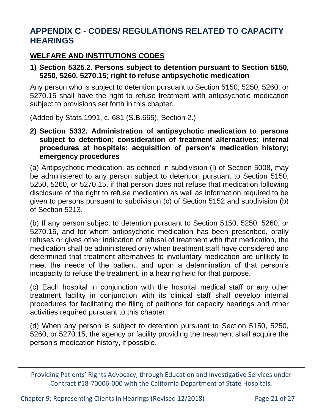# **APPENDIX C - CODES/ REGULATIONS RELATED TO CAPACITY HEARINGS**

## **WELFARE AND INSTITUTIONS CODES**

#### **1) Section 5325.2. Persons subject to detention pursuant to Section 5150, 5250, 5260, 5270.15; right to refuse antipsychotic medication**

Any person who is subject to detention pursuant to Section 5150, 5250, 5260, or 5270.15 shall have the right to refuse treatment with antipsychotic medication subject to provisions set forth in this chapter.

(Added by Stats.1991, c. 681 (S.B.665), Section 2.)

**2) Section 5332. Administration of antipsychotic medication to persons subject to detention; consideration of treatment alternatives; internal procedures at hospitals; acquisition of person's medication history; emergency procedures**

(a) Antipsychotic medication, as defined in subdivision (l) of Section 5008, may be administered to any person subject to detention pursuant to Section 5150, 5250, 5260, or 5270.15, if that person does not refuse that medication following disclosure of the right to refuse medication as well as information required to be given to persons pursuant to subdivision (c) of Section 5152 and subdivision (b) of Section 5213.

(b) If any person subject to detention pursuant to Section 5150, 5250, 5260, or 5270.15, and for whom antipsychotic medication has been prescribed, orally refuses or gives other indication of refusal of treatment with that medication, the medication shall be administered only when treatment staff have considered and determined that treatment alternatives to involuntary medication are unlikely to meet the needs of the patient, and upon a determination of that person's incapacity to refuse the treatment, in a hearing held for that purpose.

(c) Each hospital in conjunction with the hospital medical staff or any other treatment facility in conjunction with its clinical staff shall develop internal procedures for facilitating the filing of petitions for capacity hearings and other activities required pursuant to this chapter.

(d) When any person is subject to detention pursuant to Section 5150, 5250, 5260, or 5270.15, the agency or facility providing the treatment shall acquire the person's medication history, if possible.

Chapter 9: Representing Clients in Hearings (Revised 12/2018) Page 21 of 27

Providing Patients' Rights Advocacy, through Education and Investigative Services under Contract #18-70006-000 with the California Department of State Hospitals.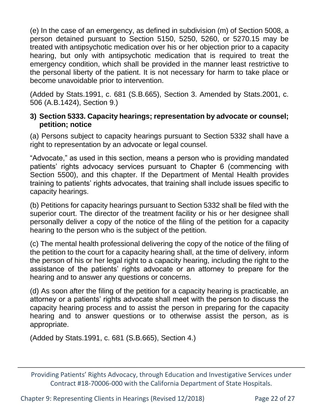(e) In the case of an emergency, as defined in subdivision (m) of Section 5008, a person detained pursuant to Section 5150, 5250, 5260, or 5270.15 may be treated with antipsychotic medication over his or her objection prior to a capacity hearing, but only with antipsychotic medication that is required to treat the emergency condition, which shall be provided in the manner least restrictive to the personal liberty of the patient. It is not necessary for harm to take place or become unavoidable prior to intervention.

(Added by Stats.1991, c. 681 (S.B.665), Section 3. Amended by Stats.2001, c. 506 (A.B.1424), Section 9.)

#### **3) Section 5333. Capacity hearings; representation by advocate or counsel; petition; notice**

(a) Persons subject to capacity hearings pursuant to Section 5332 shall have a right to representation by an advocate or legal counsel.

"Advocate," as used in this section, means a person who is providing mandated patients' rights advocacy services pursuant to Chapter 6 (commencing with Section 5500), and this chapter. If the Department of Mental Health provides training to patients' rights advocates, that training shall include issues specific to capacity hearings.

(b) Petitions for capacity hearings pursuant to Section 5332 shall be filed with the superior court. The director of the treatment facility or his or her designee shall personally deliver a copy of the notice of the filing of the petition for a capacity hearing to the person who is the subject of the petition.

(c) The mental health professional delivering the copy of the notice of the filing of the petition to the court for a capacity hearing shall, at the time of delivery, inform the person of his or her legal right to a capacity hearing, including the right to the assistance of the patients' rights advocate or an attorney to prepare for the hearing and to answer any questions or concerns.

(d) As soon after the filing of the petition for a capacity hearing is practicable, an attorney or a patients' rights advocate shall meet with the person to discuss the capacity hearing process and to assist the person in preparing for the capacity hearing and to answer questions or to otherwise assist the person, as is appropriate.

(Added by Stats.1991, c. 681 (S.B.665), Section 4.)

Providing Patients' Rights Advocacy, through Education and Investigative Services under Contract #18-70006-000 with the California Department of State Hospitals.

Chapter 9: Representing Clients in Hearings (Revised 12/2018) Page 22 of 27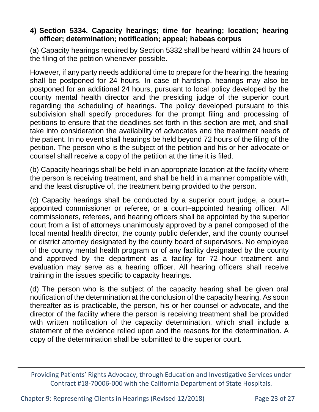#### **4) Section 5334. Capacity hearings; time for hearing; location; hearing officer; determination; notification; appeal; habeas corpus**

(a) Capacity hearings required by Section 5332 shall be heard within 24 hours of the filing of the petition whenever possible.

However, if any party needs additional time to prepare for the hearing, the hearing shall be postponed for 24 hours. In case of hardship, hearings may also be postponed for an additional 24 hours, pursuant to local policy developed by the county mental health director and the presiding judge of the superior court regarding the scheduling of hearings. The policy developed pursuant to this subdivision shall specify procedures for the prompt filing and processing of petitions to ensure that the deadlines set forth in this section are met, and shall take into consideration the availability of advocates and the treatment needs of the patient. In no event shall hearings be held beyond 72 hours of the filing of the petition. The person who is the subject of the petition and his or her advocate or counsel shall receive a copy of the petition at the time it is filed.

(b) Capacity hearings shall be held in an appropriate location at the facility where the person is receiving treatment, and shall be held in a manner compatible with, and the least disruptive of, the treatment being provided to the person.

(c) Capacity hearings shall be conducted by a superior court judge, a court– appointed commissioner or referee, or a court–appointed hearing officer. All commissioners, referees, and hearing officers shall be appointed by the superior court from a list of attorneys unanimously approved by a panel composed of the local mental health director, the county public defender, and the county counsel or district attorney designated by the county board of supervisors. No employee of the county mental health program or of any facility designated by the county and approved by the department as a facility for 72–hour treatment and evaluation may serve as a hearing officer. All hearing officers shall receive training in the issues specific to capacity hearings.

(d) The person who is the subject of the capacity hearing shall be given oral notification of the determination at the conclusion of the capacity hearing. As soon thereafter as is practicable, the person, his or her counsel or advocate, and the director of the facility where the person is receiving treatment shall be provided with written notification of the capacity determination, which shall include a statement of the evidence relied upon and the reasons for the determination. A copy of the determination shall be submitted to the superior court.

Chapter 9: Representing Clients in Hearings (Revised 12/2018) Page 23 of 27

Providing Patients' Rights Advocacy, through Education and Investigative Services under Contract #18-70006-000 with the California Department of State Hospitals.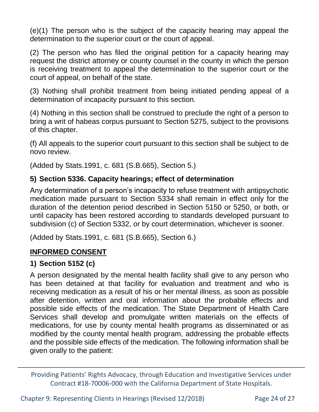(e)(1) The person who is the subject of the capacity hearing may appeal the determination to the superior court or the court of appeal.

(2) The person who has filed the original petition for a capacity hearing may request the district attorney or county counsel in the county in which the person is receiving treatment to appeal the determination to the superior court or the court of appeal, on behalf of the state.

(3) Nothing shall prohibit treatment from being initiated pending appeal of a determination of incapacity pursuant to this section.

(4) Nothing in this section shall be construed to preclude the right of a person to bring a writ of habeas corpus pursuant to Section 5275, subject to the provisions of this chapter.

(f) All appeals to the superior court pursuant to this section shall be subject to de novo review.

(Added by Stats.1991, c. 681 (S.B.665), Section 5.)

### **5) Section 5336. Capacity hearings; effect of determination**

Any determination of a person's incapacity to refuse treatment with antipsychotic medication made pursuant to Section 5334 shall remain in effect only for the duration of the detention period described in Section 5150 or 5250, or both, or until capacity has been restored according to standards developed pursuant to subdivision (c) of Section 5332, or by court determination, whichever is sooner.

(Added by Stats.1991, c. 681 (S.B.665), Section 6.)

## **INFORMED CONSENT**

#### **1) Section 5152 (c)**

A person designated by the mental health facility shall give to any person who has been detained at that facility for evaluation and treatment and who is receiving medication as a result of his or her mental illness, as soon as possible after detention, written and oral information about the probable effects and possible side effects of the medication. The State Department of Health Care Services shall develop and promulgate written materials on the effects of medications, for use by county mental health programs as disseminated or as modified by the county mental health program, addressing the probable effects and the possible side effects of the medication. The following information shall be given orally to the patient:

Providing Patients' Rights Advocacy, through Education and Investigative Services under Contract #18-70006-000 with the California Department of State Hospitals.

Chapter 9: Representing Clients in Hearings (Revised 12/2018) Page 24 of 27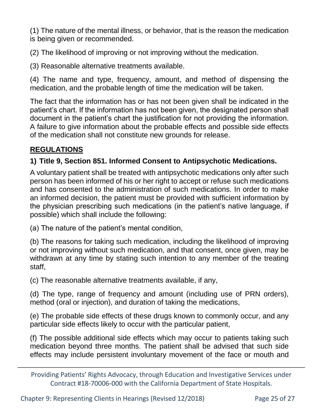(1) The nature of the mental illness, or behavior, that is the reason the medication is being given or recommended.

(2) The likelihood of improving or not improving without the medication.

(3) Reasonable alternative treatments available.

(4) The name and type, frequency, amount, and method of dispensing the medication, and the probable length of time the medication will be taken.

The fact that the information has or has not been given shall be indicated in the patient's chart. If the information has not been given, the designated person shall document in the patient's chart the justification for not providing the information. A failure to give information about the probable effects and possible side effects of the medication shall not constitute new grounds for release.

### **REGULATIONS**

#### **1) Title 9, Section 851. Informed Consent to Antipsychotic Medications.**

A voluntary patient shall be treated with antipsychotic medications only after such person has been informed of his or her right to accept or refuse such medications and has consented to the administration of such medications. In order to make an informed decision, the patient must be provided with sufficient information by the physician prescribing such medications (in the patient's native language, if possible) which shall include the following:

(a) The nature of the patient's mental condition,

(b) The reasons for taking such medication, including the likelihood of improving or not improving without such medication, and that consent, once given, may be withdrawn at any time by stating such intention to any member of the treating staff,

(c) The reasonable alternative treatments available, if any,

(d) The type, range of frequency and amount (including use of PRN orders), method (oral or injection), and duration of taking the medications,

(e) The probable side effects of these drugs known to commonly occur, and any particular side effects likely to occur with the particular patient,

(f) The possible additional side effects which may occur to patients taking such medication beyond three months. The patient shall be advised that such side effects may include persistent involuntary movement of the face or mouth and

Providing Patients' Rights Advocacy, through Education and Investigative Services under Contract #18-70006-000 with the California Department of State Hospitals.

Chapter 9: Representing Clients in Hearings (Revised 12/2018) Page 25 of 27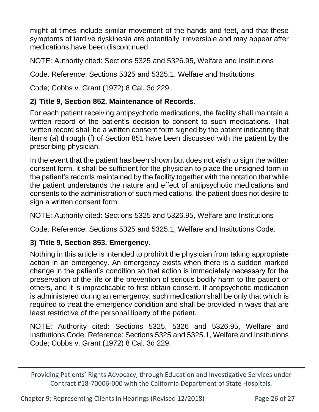might at times include similar movement of the hands and feet, and that these symptoms of tardive dyskinesia are potentially irreversible and may appear after medications have been discontinued.

NOTE: Authority cited: Sections 5325 and 5326.95, Welfare and Institutions

Code. Reference: Sections 5325 and 5325.1, Welfare and Institutions

Code; Cobbs v. Grant (1972) 8 Cal. 3d 229.

#### **2) Title 9, Section 852. Maintenance of Records.**

For each patient receiving antipsychotic medications, the facility shall maintain a written record of the patient's decision to consent to such medications. That written record shall be a written consent form signed by the patient indicating that items (a) through (f) of Section 851 have been discussed with the patient by the prescribing physician.

In the event that the patient has been shown but does not wish to sign the written consent form, it shall be sufficient for the physician to place the unsigned form in the patient's records maintained by the facility together with the notation that while the patient understands the nature and effect of antipsychotic medications and consents to the administration of such medications, the patient does not desire to sign a written consent form.

NOTE: Authority cited: Sections 5325 and 5326.95, Welfare and Institutions

Code. Reference: Sections 5325 and 5325.1, Welfare and Institutions Code.

#### **3) Title 9, Section 853. Emergency.**

Nothing in this article is intended to prohibit the physician from taking appropriate action in an emergency. An emergency exists when there is a sudden marked change in the patient's condition so that action is immediately necessary for the preservation of the life or the prevention of serious bodily harm to the patient or others, and it is impracticable to first obtain consent. If antipsychotic medication is administered during an emergency, such medication shall be only that which is required to treat the emergency condition and shall be provided in ways that are least restrictive of the personal liberty of the patient.

NOTE: Authority cited: Sections 5325, 5326 and 5326.95, Welfare and Institutions Code. Reference: Sections 5325 and 5325.1, Welfare and Institutions Code; Cobbs v. Grant (1972) 8 Cal. 3d 229.

Chapter 9: Representing Clients in Hearings (Revised 12/2018) Page 26 of 27

Providing Patients' Rights Advocacy, through Education and Investigative Services under Contract #18-70006-000 with the California Department of State Hospitals.